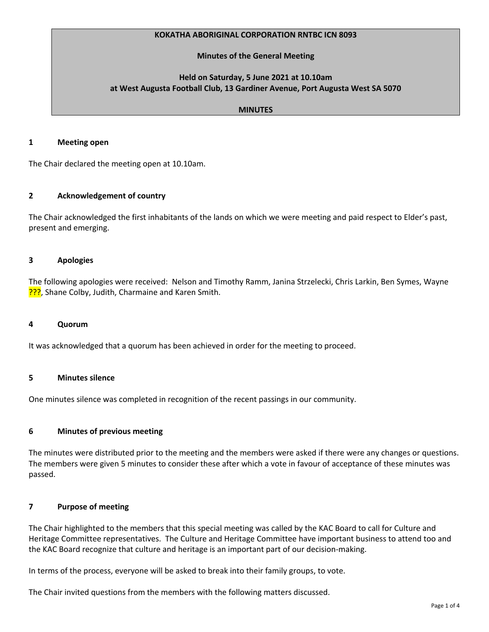## **KOKATHA ABORIGINAL CORPORATION RNTBC ICN 8093**

## **Minutes of the General Meeting**

# **Held on Saturday, 5 June 2021 at 10.10am at West Augusta Football Club, 13 Gardiner Avenue, Port Augusta West SA 5070**

## **MINUTES**

#### **1 Meeting open**

The Chair declared the meeting open at 10.10am.

## **2 Acknowledgement of country**

The Chair acknowledged the first inhabitants of the lands on which we were meeting and paid respect to Elder's past, present and emerging.

## **3 Apologies**

The following apologies were received: Nelson and Timothy Ramm, Janina Strzelecki, Chris Larkin, Ben Symes, Wayne ???, Shane Colby, Judith, Charmaine and Karen Smith.

#### **4 Quorum**

It was acknowledged that a quorum has been achieved in order for the meeting to proceed.

## **5 Minutes silence**

One minutes silence was completed in recognition of the recent passings in our community.

#### **6 Minutes of previous meeting**

The minutes were distributed prior to the meeting and the members were asked if there were any changes or questions. The members were given 5 minutes to consider these after which a vote in favour of acceptance of these minutes was passed.

#### **7 Purpose of meeting**

The Chair highlighted to the members that this special meeting was called by the KAC Board to call for Culture and Heritage Committee representatives. The Culture and Heritage Committee have important business to attend too and the KAC Board recognize that culture and heritage is an important part of our decision-making.

In terms of the process, everyone will be asked to break into their family groups, to vote.

The Chair invited questions from the members with the following matters discussed.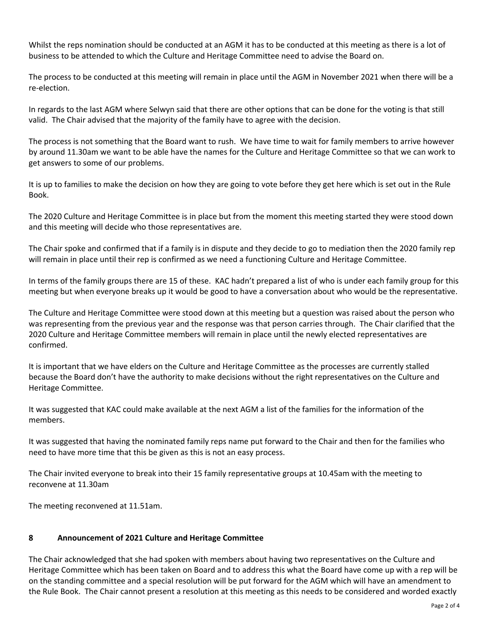Whilst the reps nomination should be conducted at an AGM it has to be conducted at this meeting as there is a lot of business to be attended to which the Culture and Heritage Committee need to advise the Board on.

The process to be conducted at this meeting will remain in place until the AGM in November 2021 when there will be a re-election.

In regards to the last AGM where Selwyn said that there are other options that can be done for the voting is that still valid. The Chair advised that the majority of the family have to agree with the decision.

The process is not something that the Board want to rush. We have time to wait for family members to arrive however by around 11.30am we want to be able have the names for the Culture and Heritage Committee so that we can work to get answers to some of our problems.

It is up to families to make the decision on how they are going to vote before they get here which is set out in the Rule Book.

The 2020 Culture and Heritage Committee is in place but from the moment this meeting started they were stood down and this meeting will decide who those representatives are.

The Chair spoke and confirmed that if a family is in dispute and they decide to go to mediation then the 2020 family rep will remain in place until their rep is confirmed as we need a functioning Culture and Heritage Committee.

In terms of the family groups there are 15 of these. KAC hadn't prepared a list of who is under each family group for this meeting but when everyone breaks up it would be good to have a conversation about who would be the representative.

The Culture and Heritage Committee were stood down at this meeting but a question was raised about the person who was representing from the previous year and the response was that person carries through. The Chair clarified that the 2020 Culture and Heritage Committee members will remain in place until the newly elected representatives are confirmed.

It is important that we have elders on the Culture and Heritage Committee as the processes are currently stalled because the Board don't have the authority to make decisions without the right representatives on the Culture and Heritage Committee.

It was suggested that KAC could make available at the next AGM a list of the families for the information of the members.

It was suggested that having the nominated family reps name put forward to the Chair and then for the families who need to have more time that this be given as this is not an easy process.

The Chair invited everyone to break into their 15 family representative groups at 10.45am with the meeting to reconvene at 11.30am

The meeting reconvened at 11.51am.

## **8 Announcement of 2021 Culture and Heritage Committee**

The Chair acknowledged that she had spoken with members about having two representatives on the Culture and Heritage Committee which has been taken on Board and to address this what the Board have come up with a rep will be on the standing committee and a special resolution will be put forward for the AGM which will have an amendment to the Rule Book. The Chair cannot present a resolution at this meeting as this needs to be considered and worded exactly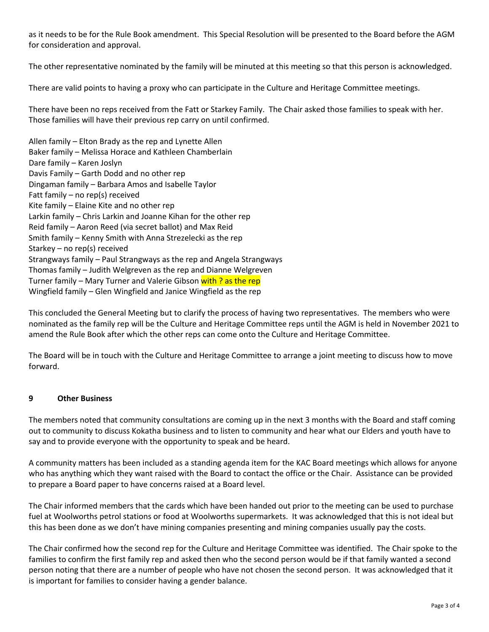as it needs to be for the Rule Book amendment. This Special Resolution will be presented to the Board before the AGM for consideration and approval.

The other representative nominated by the family will be minuted at this meeting so that this person is acknowledged.

There are valid points to having a proxy who can participate in the Culture and Heritage Committee meetings.

There have been no reps received from the Fatt or Starkey Family. The Chair asked those families to speak with her. Those families will have their previous rep carry on until confirmed.

Allen family – Elton Brady as the rep and Lynette Allen Baker family – Melissa Horace and Kathleen Chamberlain Dare family – Karen Joslyn Davis Family – Garth Dodd and no other rep Dingaman family – Barbara Amos and Isabelle Taylor Fatt family – no rep(s) received Kite family – Elaine Kite and no other rep Larkin family – Chris Larkin and Joanne Kihan for the other rep Reid family – Aaron Reed (via secret ballot) and Max Reid Smith family – Kenny Smith with Anna Strezelecki as the rep Starkey – no rep(s) received Strangways family – Paul Strangways as the rep and Angela Strangways Thomas family – Judith Welgreven as the rep and Dianne Welgreven Turner family – Mary Turner and Valerie Gibson with ? as the rep Wingfield family – Glen Wingfield and Janice Wingfield as the rep

This concluded the General Meeting but to clarify the process of having two representatives. The members who were nominated as the family rep will be the Culture and Heritage Committee reps until the AGM is held in November 2021 to amend the Rule Book after which the other reps can come onto the Culture and Heritage Committee.

The Board will be in touch with the Culture and Heritage Committee to arrange a joint meeting to discuss how to move forward.

## **9 Other Business**

The members noted that community consultations are coming up in the next 3 months with the Board and staff coming out to community to discuss Kokatha business and to listen to community and hear what our Elders and youth have to say and to provide everyone with the opportunity to speak and be heard.

A community matters has been included as a standing agenda item for the KAC Board meetings which allows for anyone who has anything which they want raised with the Board to contact the office or the Chair. Assistance can be provided to prepare a Board paper to have concerns raised at a Board level.

The Chair informed members that the cards which have been handed out prior to the meeting can be used to purchase fuel at Woolworths petrol stations or food at Woolworths supermarkets. It was acknowledged that this is not ideal but this has been done as we don't have mining companies presenting and mining companies usually pay the costs.

The Chair confirmed how the second rep for the Culture and Heritage Committee was identified. The Chair spoke to the families to confirm the first family rep and asked then who the second person would be if that family wanted a second person noting that there are a number of people who have not chosen the second person. It was acknowledged that it is important for families to consider having a gender balance.